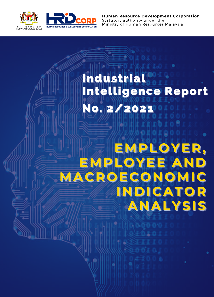

**Human Resource Development Corporation** Statutory authority under the Ministry of Human Resources Malaysia

# No. 2/2021 Industrial Intelligence Report

**EMPLOYER,** EMPLOYEE AND **MACROECONOMIC INDICATOR ANALYSIS**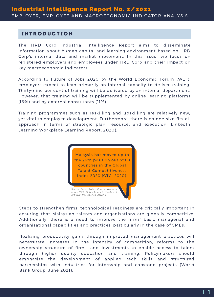### **INTRODUCTION**

The HRD Corp Industrial Intelligence Report aims to disseminate information about human capital and learning environment based on HRD Corp's internal data and market movement. In this issue, we focus on registered employers and employees under HRD Corp and their impact on key macroeconomic indicators.

According to Future of Jobs 2020 by the World Economic Forum (WEF), employers expect to lean primarily on internal capacity to deliver training. Thirty-nine per cent of training will be delivered by an internal department. However, that training will be supplemented by online learning platforms (16%) and by external consultants (11%).

Training programmes such as reskilling and upskilling are relatively new, yet vital to employee development. Furthermore, there is no one-size-fits-all approach in terms of strategic plan, resource, and execution (LinkedIn Learning Workplace Learning Report, 2020).



*Artificial Intelligence, INSEAD*

Steps to strengthen firms' technological readiness are critically important in ensuring that Malaysian talents and organisations are globally competitive. Additionally, there is a need to improve the firms' basic managerial and organisational capabilities and practices, particularly in the case of SMEs.

Realising productivity gains through improved management practices will necessitate increases in the intensity of competition, reforms to the ownership structure of firms, and investments to enable access to talent through higher quality education and training. Policymakers should emphasise the development of applied tech skills and structured partnerships with industries for internship and capstone projects (World Bank Group, June 2021).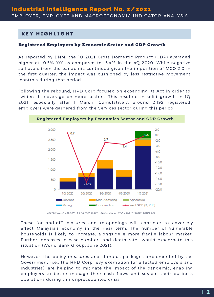## **KEY HIGHLIGHT**

#### Registered Employers by Economic Sector and GDP Growth

As reported by BNM, the 1Q 2021 Gross Domestic Product (GDP) averaged higher at -0.5% Y/Y as compared to -3.4% in the 4Q 2020. While negative spillovers from the pandemic continued given the imposition of MCO 2.0 in the first quarter, the impact was cushioned by less restrictive movement controls during that period.

Following the rebound, HRD Corp focused on expanding its Act in order to widen its coverage on more sectors. This resulted in solid growth in 1Q 2021, especially after 1 March. Cumulatively, around 2,192 registered employers were garnered from the Services sector during this period.



*Source: BNM Economic and Monetary Review 2020, HRD Corp internal database*

These "on-and-off" closures and re-openings will continue to adversely affect Malaysia's economy in the near term. The number of vulnerable households is likely to increase, alongside a more fragile labour market. Further increases in case numbers and death rates would exacerbate this situation (World Bank Group, June 2021).

However, the policy measures and stimulus packages implemented by the Government (i.e., the HRD Corp levy exemption for affected employers and industries), are helping to mitigate the impact of the pandemic, enabling employers to better manage their cash flows and sustain their business operations during this unprecedented crisis.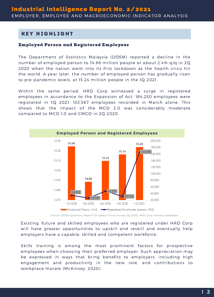## **KEY HIGHLIGHT**

#### Employed Person and Registered Employees

The Department of Statistics Malaysia (DOSM) reported a decline in the number of employed person to 14.88 million people or about 2.4% q/q in 2Q 2020 when the nation went into its first lockdown as the health crisis hit the world. A year later, the number of employed person has gradually risen to pre-pandemic levels, at 15.24 million people in the 1Q 2021.

Within the same period, HRD Corp witnessed a surge in registered employees in accordance to the Expansion of Act. 164,250 employees were registered in 1Q 2021, 153,567 employees recorded in March alone. This shows that the impact of the MCO 2.0 was considerably moderate compared to MCO 1.0 and CMCO in 2Q 2020.



*Source: DOSM Quarterly Report Of Labour Force Survey (1Q 2021), HRD Corp internal database*

Existing, future and skilled employees who are registered under HRD Corp will have greater opportunities to upskill and reskill and eventually help employers have a capable, skilled and competent workforce.

Skills training is among the most prominent factors for prospective employees when choosing their preferred employer. Such appreciation may be expressed in ways that bring benefits to employers, including high engagement and productivity in the new role, and contributions to workplace morale (McKinsey, 2020).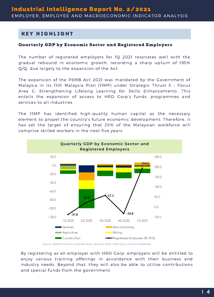## **KEY HIGHLIGHT**

#### Quarterly GDP by Economic Sector and Registered Employers

The number of registered employers for 1Q 2021 resonates well with the gradual rebound in economic growth, recording a sharp upturn of 195% Q/Q, due largely to the expansion of the Act.

The expansion of the PSMB Act 2021 was mandated by the Government of Malaysia in its 11th Malaysia Plan (11MP) under Strategic Thrust 5 – Focus Area C: Strengthening Lifelong Learning for Skills Enhancements. This entails the expansion of access to HRD Corp's funds, programmes and services to all industries.

The 11MP has identified high-quality human capital as the necessary element to propel the country's future economic development. Therefore, it has set the target of ensuring that 35% of the Malaysian workforce will comprise skilled workers in the next five years.



*Source: BNM Economic and Monetary Review 2020, HRD Corp internal database*

By registering as an employer with HRD Corp, employers will be entitled to enjoy various training offerings in accordance with their business and industry needs. Beyond that, they will also be able to utilise contributions and special funds from the government.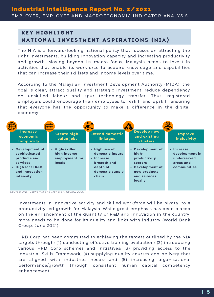## **KEY HIGHLIGHT** NATIONAL INVESTMENT ASPIRATIONS (NIA)

The NIA is a forward-looking national policy that focuses on attracting the right investments, building innovation capacity and increasing productivity and growth. Moving beyond its macro focus, Malaysia needs to invest in activities that enable its workforce to acquire knowledge and capabilities that can increase their skillsets and income levels over time.

According to the Malaysian Investment Development Authority (MIDA), the goal is clear; attract quality and strategic investment, reduce dependency on unskilled labour and spur technology transfer. Thus, registered employers could encourage their employees to reskill and upskill, ensuring that everyone has the opportunity to make a difference in the digital economy.



*Source: BNM Economic and Monetary Review 2020*

Investments in innovative activity and skilled workforce will be pivotal to a productivity-led growth for Malaysia. While great emphasis has been placed on the enhancement of the quantity of R&D and innovation in the country, more needs to be done for its quality and links with industry (World Bank Group, June 2021).

HRD Corp has been committed to achieving the targets outlined by the NIA targets through; (1) conducting effective training evaluation; (2) introducing various HRD Corp schemes and initiatives; (3) providing access to the Industrial Skills Framework; (4) supplying quality courses and delivery that are aligned with industries needs; and (5) increasing organisational performance/growth through consistent human capital competency enhancement.